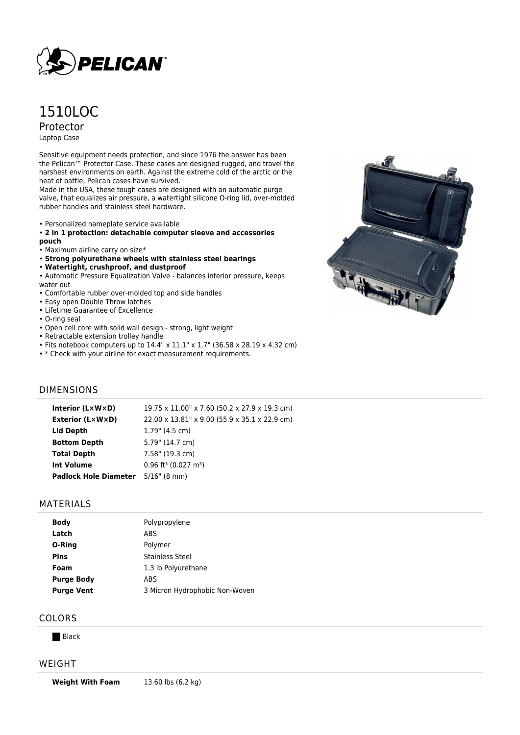

# 1510LOC Protector Laptop Case

Sensitive equipment needs protection, and since 1976 the answer has been the Pelican™ Protector Case. These cases are designed rugged, and travel the harshest environments on earth. Against the extreme cold of the arctic or the heat of battle, Pelican cases have survived.

Made in the USA, these tough cases are designed with an automatic purge valve, that equalizes air pressure, a watertight silicone O-ring lid, over-molded rubber handles and stainless steel hardware.

- Personalized nameplate service available
- **2 in 1 protection: detachable computer sleeve and accessories pouch**
- Maximum airline carry on size\*
- **Strong polyurethane wheels with stainless steel bearings**
- **Watertight, crushproof, and dustproof**
- Automatic Pressure Equalization Valve balances interior pressure, keeps water out
- Comfortable rubber over-molded top and side handles
- Easy open Double Throw latches
- Lifetime Guarantee of Excellence
- O-ring seal
- Open cell core with solid wall design strong, light weight
- Retractable extension trolley handle
- Fits notebook computers up to 14.4" x 11.1" x 1.7" (36.58 x 28.19 x 4.32 cm)
- \* Check with your airline for exact measurement requirements.

# DIMENSIONS

| Interior (LxWxD)             | 19.75 x 11.00" x 7.60 (50.2 x 27.9 x 19.3 cm)  |
|------------------------------|------------------------------------------------|
| <b>Exterior (L×W×D)</b>      | 22.00 x 13.81" x 9.00 (55.9 x 35.1 x 22.9 cm)  |
| Lid Depth                    | $1.79$ " (4.5 cm)                              |
| <b>Bottom Depth</b>          | 5.79" (14.7 cm)                                |
| <b>Total Depth</b>           | 7.58" (19.3 cm)                                |
| <b>Int Volume</b>            | $0.96$ ft <sup>3</sup> (0.027 m <sup>3</sup> ) |
| <b>Padlock Hole Diameter</b> | $5/16$ " (8 mm)                                |

#### MATERIALS

| <b>Body</b>       | Polypropylene                  |
|-------------------|--------------------------------|
|                   |                                |
| Latch             | ABS                            |
| O-Ring            | Polymer                        |
| <b>Pins</b>       | <b>Stainless Steel</b>         |
| Foam              | 1.3 lb Polyurethane            |
| <b>Purge Body</b> | ABS                            |
| <b>Purge Vent</b> | 3 Micron Hydrophobic Non-Woven |
|                   |                                |

## COLORS

**Black** 

#### WEIGHT